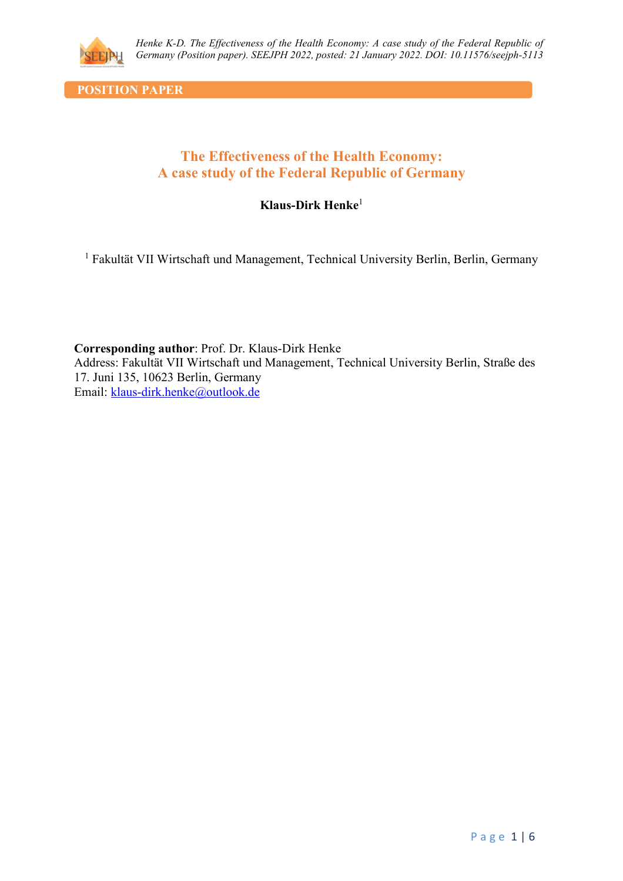

*Henke K-D. The Effectiveness of the Health Economy: A case study of the Federal Republic of Germany (Position paper). SEEJPH 2022, posted: 21 January 2022. DOI: 10.11576/seejph-5113*

**POSITION PAPER** 

## **The Effectiveness of the Health Economy: A case study of the Federal Republic of Germany**

## **Klaus-Dirk Henke**<sup>1</sup>

<sup>1</sup> Fakultät VII Wirtschaft und Management, Technical University Berlin, Berlin, Germany

**Corresponding author**: Prof. Dr. Klaus-Dirk Henke Address: Fakultät VII Wirtschaft und Management, Technical University Berlin, Straße des 17. Juni 135, 10623 Berlin, Germany Email: [klaus-dirk.henke@outlook.de](mailto:klaus-dirk.henke@outlook.de)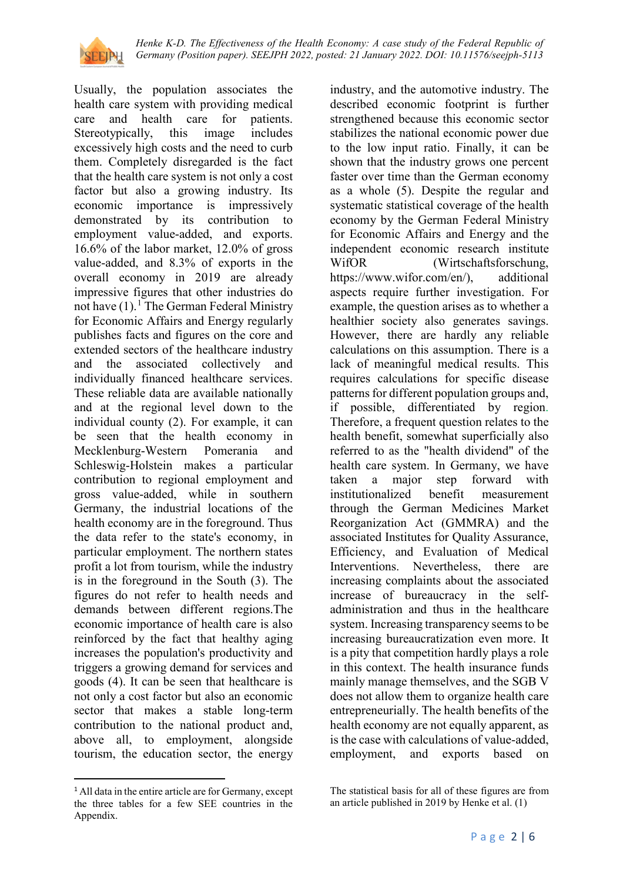

Usually, the population associates the health care system with providing medical<br>care and health care for patients. care and health care for patients. Stereotypically, this image includes excessively high costs and the need to curb them. Completely disregarded is the fact that the health care system is not only a cost factor but also a growing industry. Its economic importance is impressively demonstrated by its contribution to employment value-added, and exports. 16.6% of the labor market, 12.0% of gross value-added, and 8.3% of exports in the overall economy in 2019 are already impressive figures that other industries do not have ([1](#page-1-0)).<sup>1</sup> The German Federal Ministry for Economic Affairs and Energy regularly publishes facts and figures on the core and extended sectors of the healthcare industry and the associated collectively and individually financed healthcare services. These reliable data are available nationally and at the regional level down to the individual county (2). For example, it can be seen that the health economy in Mecklenburg-Western Pomerania and Schleswig-Holstein makes a particular contribution to regional employment and gross value-added, while in southern Germany, the industrial locations of the health economy are in the foreground. Thus the data refer to the state's economy, in particular employment. The northern states profit a lot from tourism, while the industry is in the foreground in the South (3). The figures do not refer to health needs and demands between different regions.The economic importance of health care is also reinforced by the fact that healthy aging increases the population's productivity and triggers a growing demand for services and goods (4). It can be seen that healthcare is not only a cost factor but also an economic sector that makes a stable long-term contribution to the national product and, above all, to employment, alongside tourism, the education sector, the energy

industry, and the automotive industry. The described economic footprint is further strengthened because this economic sector stabilizes the national economic power due to the low input ratio. Finally, it can be shown that the industry grows one percent faster over time than the German economy as a whole (5). Despite the regular and systematic statistical coverage of the health economy by the German Federal Ministry for Economic Affairs and Energy and the independent economic research institute WifOR (Wirtschaftsforschung, https://www.wifor.com/en/), additional aspects require further investigation. For example, the question arises as to whether a healthier society also generates savings. However, there are hardly any reliable calculations on this assumption. There is a lack of meaningful medical results. This requires calculations for specific disease patterns for different population groups and, if possible, differentiated by region. Therefore, a frequent question relates to the health benefit, somewhat superficially also referred to as the "health dividend" of the health care system. In Germany, we have taken a major step forward with institutionalized benefit measurement through the German Medicines Market Reorganization Act (GMMRA) and the associated Institutes for Quality Assurance, Efficiency, and Evaluation of Medical Interventions. Nevertheless, there are increasing complaints about the associated increase of bureaucracy in the selfadministration and thus in the healthcare system. Increasing transparency seems to be increasing bureaucratization even more. It is a pity that competition hardly plays a role in this context. The health insurance funds mainly manage themselves, and the SGB V does not allow them to organize health care entrepreneurially. The health benefits of the health economy are not equally apparent, as is the case with calculations of value-added, employment, and exports based on

<span id="page-1-0"></span><sup>&</sup>lt;sup>1</sup> All data in the entire article are for Germany, except the three tables for a few SEE countries in the Appendix.

The statistical basis for all of these figures are from an article published in 2019 by Henke et al. (1)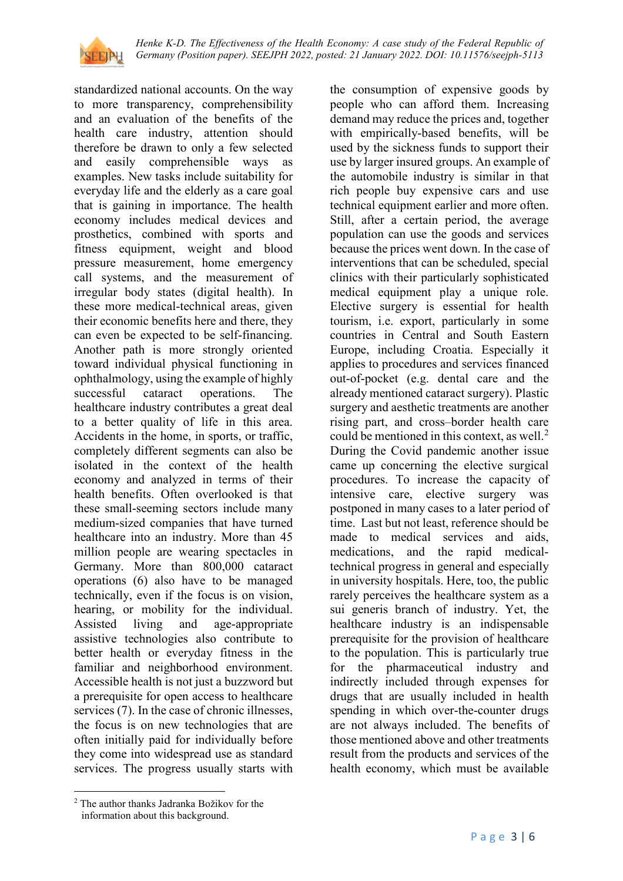

standardized national accounts. On the way to more transparency, comprehensibility and an evaluation of the benefits of the health care industry, attention should therefore be drawn to only a few selected and easily comprehensible ways as examples. New tasks include suitability for everyday life and the elderly as a care goal that is gaining in importance. The health economy includes medical devices and prosthetics, combined with sports and fitness equipment, weight and blood pressure measurement, home emergency call systems, and the measurement of irregular body states (digital health). In these more medical-technical areas, given their economic benefits here and there, they can even be expected to be self-financing. Another path is more strongly oriented toward individual physical functioning in ophthalmology, using the example of highly successful cataract operations. The healthcare industry contributes a great deal to a better quality of life in this area. Accidents in the home, in sports, or traffic, completely different segments can also be isolated in the context of the health economy and analyzed in terms of their health benefits. Often overlooked is that these small-seeming sectors include many medium-sized companies that have turned healthcare into an industry. More than 45 million people are wearing spectacles in Germany. More than 800,000 cataract operations (6) also have to be managed technically, even if the focus is on vision, hearing, or mobility for the individual. Assisted living and age-appropriate assistive technologies also contribute to better health or everyday fitness in the familiar and neighborhood environment. Accessible health is not just a buzzword but a prerequisite for open access to healthcare services (7). In the case of chronic illnesses, the focus is on new technologies that are often initially paid for individually before they come into widespread use as standard services. The progress usually starts with

the consumption of expensive goods by people who can afford them. Increasing demand may reduce the prices and, together with empirically-based benefits, will be used by the sickness funds to support their use by larger insured groups. An example of the automobile industry is similar in that rich people buy expensive cars and use technical equipment earlier and more often. Still, after a certain period, the average population can use the goods and services because the prices went down. In the case of interventions that can be scheduled, special clinics with their particularly sophisticated medical equipment play a unique role. Elective surgery is essential for health tourism, i.e. export, particularly in some countries in Central and South Eastern Europe, including Croatia. Especially it applies to procedures and services financed out-of-pocket (e.g. dental care and the already mentioned cataract surgery). Plastic surgery and aesthetic treatments are another rising part, and cross–border health care could be mentioned in this context, as well. $<sup>2</sup>$  $<sup>2</sup>$  $<sup>2</sup>$ </sup> During the Covid pandemic another issue came up concerning the elective surgical procedures. To increase the capacity of intensive care, elective surgery was postponed in many cases to a later period of time. Last but not least, reference should be made to medical services and aids, medications, and the rapid medicaltechnical progress in general and especially in university hospitals. Here, too, the public rarely perceives the healthcare system as a sui generis branch of industry. Yet, the healthcare industry is an indispensable prerequisite for the provision of healthcare to the population. This is particularly true for the pharmaceutical industry and indirectly included through expenses for drugs that are usually included in health spending in which over-the-counter drugs are not always included. The benefits of those mentioned above and other treatments result from the products and services of the health economy, which must be available

<span id="page-2-0"></span> $\overline{a}$ <sup>2</sup> The author thanks Jadranka Božikov for the information about this background.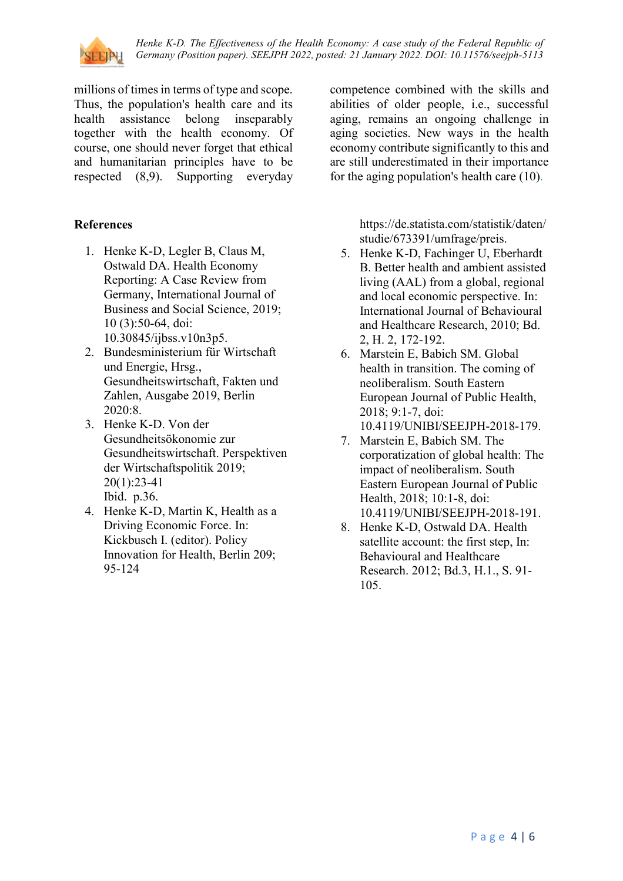

*Henke K-D. The Effectiveness of the Health Economy: A case study of the Federal Republic of Germany (Position paper). SEEJPH 2022, posted: 21 January 2022. DOI: 10.11576/seejph-5113*

millions of times in terms of type and scope. Thus, the population's health care and its health assistance belong inseparably together with the health economy. Of course, one should never forget that ethical and humanitarian principles have to be respected (8,9). Supporting everyday

## **References**

- 1. Henke K-D, Legler B, Claus M, Ostwald DA. Health Economy Reporting: A Case Review from Germany, International Journal of Business and Social Science, 2019; 10 (3):50-64, doi: 10.30845/ijbss.v10n3p5.
- 2. Bundesministerium für Wirtschaft und Energie, Hrsg., Gesundheitswirtschaft, Fakten und Zahlen, Ausgabe 2019, Berlin 2020:8.
- 3. Henke K-D. Von der Gesundheitsökonomie zur Gesundheitswirtschaft. Perspektiven der Wirtschaftspolitik 2019; 20(1):23-41 Ibid. p.36.
- 4. Henke K-D, Martin K, Health as a Driving Economic Force. In: Kickbusch I. (editor). Policy Innovation for Health, Berlin 209; 95-124

competence combined with the skills and abilities of older people, i.e., successful aging, remains an ongoing challenge in aging societies. New ways in the health economy contribute significantly to this and are still underestimated in their importance for the aging population's health care (10).

> https://de.statista.com/statistik/daten/ studie/673391/umfrage/preis.

- 5. Henke K-D, Fachinger U, Eberhardt B. Better health and ambient assisted living (AAL) from a global, regional and local economic perspective. In: International Journal of Behavioural and Healthcare Research, 2010; Bd. 2, H. 2, 172-192.
- 6. Marstein E, Babich SM. Global health in transition. The coming of neoliberalism. South Eastern European Journal of Public Health, 2018; 9:1-7, doi: 10.4119/UNIBI/SEEJPH-2018-179.
- 7. Marstein E, Babich SM. The corporatization of global health: The impact of neoliberalism. South Eastern European Journal of Public Health, 2018; 10:1-8, doi: 10.4119/UNIBI/SEEJPH-2018-191.
- 8. Henke K-D, Ostwald DA. Health satellite account: the first step, In: Behavioural and Healthcare Research. 2012; Bd.3, H.1., S. 91- 105.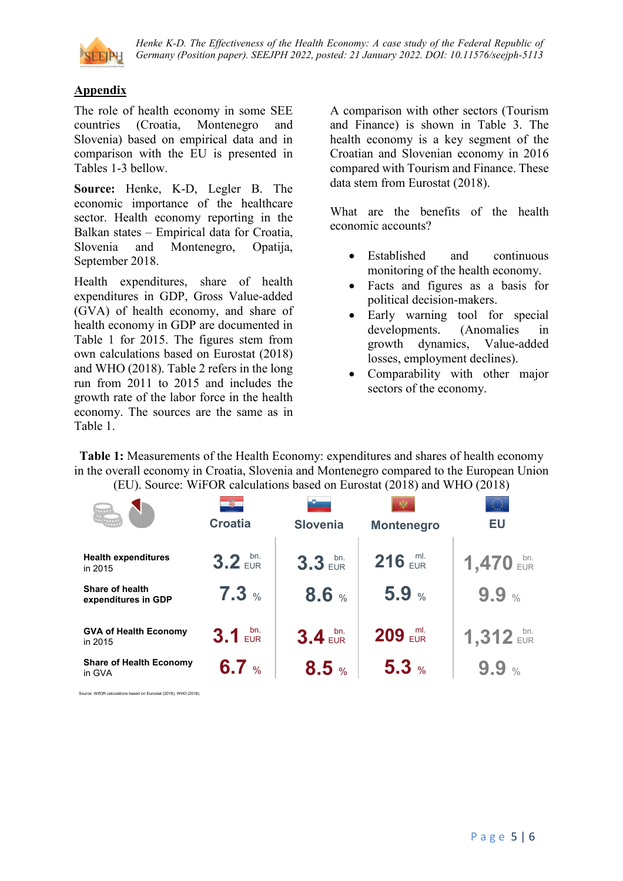

*Henke K-D. The Effectiveness of the Health Economy: A case study of the Federal Republic of Germany (Position paper). SEEJPH 2022, posted: 21 January 2022. DOI: 10.11576/seejph-5113*

## **Appendix**

The role of health economy in some SEE countries (Croatia, Montenegro and Slovenia) based on empirical data and in comparison with the EU is presented in Tables 1-3 bellow.

**Source:** Henke, K-D, Legler B. The economic importance of the healthcare sector. Health economy reporting in the Balkan states – Empirical data for Croatia, Slovenia and Montenegro, Opatija, September 2018.

Health expenditures, share of health expenditures in GDP, Gross Value-added (GVA) of health economy, and share of health economy in GDP are documented in Table 1 for 2015. The figures stem from own calculations based on Eurostat (2018) and WHO (2018). Table 2 refers in the long run from 2011 to 2015 and includes the growth rate of the labor force in the health economy. The sources are the same as in Table 1.

A comparison with other sectors (Tourism and Finance) is shown in Table 3. The health economy is a key segment of the Croatian and Slovenian economy in 2016 compared with Tourism and Finance. These data stem from Eurostat (2018).

What are the benefits of the health economic accounts?

- Established and continuous monitoring of the health economy.
- Facts and figures as a basis for political decision-makers.
- Early warning tool for special developments. (Anomalies in growth dynamics, Value-added losses, employment declines).
- Comparability with other major sectors of the economy.

**Table 1:** Measurements of the Health Economy: expenditures and shares of health economy in the overall economy in Croatia, Slovenia and Montenegro compared to the European Union (EU). Source: WiFOR calculations based on Eurostat (2018) and WHO (2018)

|                                          | $\mathbb{R}$<br><b>Croatia</b> | <b>Slovenia</b>       | <b>Montenegro</b> | $\frac{1}{2}$ , $\frac{1}{2}$<br>EU |
|------------------------------------------|--------------------------------|-----------------------|-------------------|-------------------------------------|
| <b>Health expenditures</b><br>in 2015    | $3.2$ EUR                      | $3.3e$ <sub>EUR</sub> | $216$ EUR         | 1,470 $_{EUR}^{bn}$                 |
| Share of health<br>expenditures in GDP   | 7.3%                           | 8.6%                  | 5.9%              | 9.9<br>$\frac{0}{0}$                |
| <b>GVA of Health Economy</b><br>in 2015  | $3.1$ EUR                      | $3.4$ FUR             | $209$ EUR         | 1,312 $_{EUR}^{bn}$                 |
| <b>Share of Health Economy</b><br>in GVA | $6.7$ %                        | 8.5%                  | $5.3$ %           | - 9<br>0/2                          |

rce: WifOR calculations based on Eurostat (2018), WHO (2018)